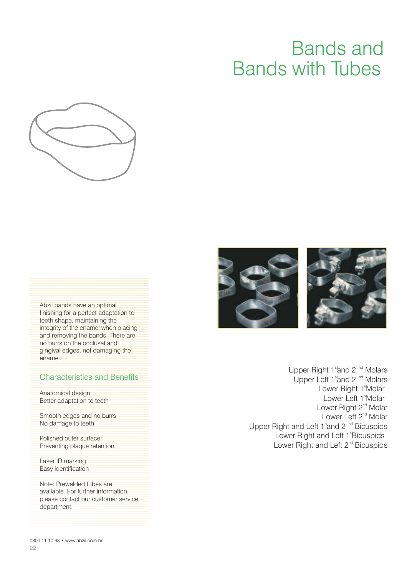## Bands and Bands with Tubes



Abzil bands have an optimal finishing for a perfect adaptation to teeth shape, maintaining the integrity of the enamel when placing and removing the bands. There are no burrs on the occlusal and gingival edges, not damaging the enamel.

#### Characteristics and Benefits

Anatomical design: Better adaptation to teeth

Smooth edges and no burrs: No damage to teeth

Polished outer surface: Preventing plaque retention

Laser ID marking: Easy identification

Note: Prewelded tubes are available. For further information, please contact our customer service department.



Upper Right 1<sup>st</sup> and 2<sup>nd</sup> Molars Upper Left 1<sup>st</sup> and 2<sup>nd</sup> Molars Lower Right 1<sup>st</sup>Molar Lower Left 1<sup>st</sup>Molar Lower Right 2<sup>nd</sup> Molar Lower Left 2<sup>nd</sup> Molar Upper Right and Left 1<sup>st</sup> and 2<sup>nd</sup> Bicuspids Lower Right and Left 1<sup>s</sup> Bicuspids Lower Right and Left 2<sup>nd</sup> Bicuspids